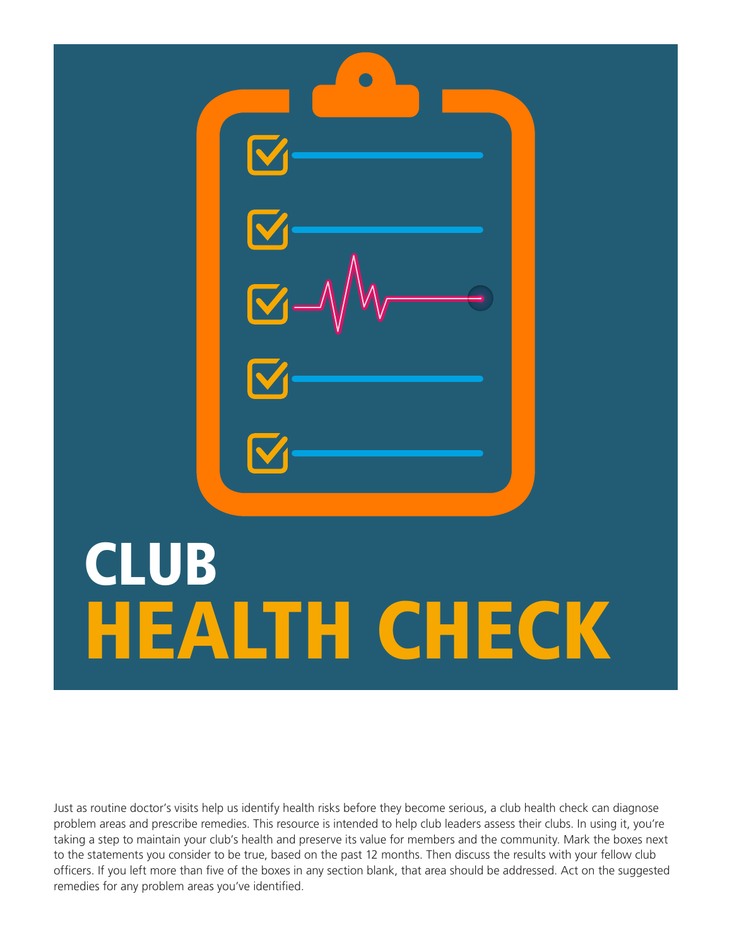

Just as routine doctor's visits help us identify health risks before they become serious, a club health check can diagnose problem areas and prescribe remedies. This resource is intended to help club leaders assess their clubs. In using it, you're taking a step to maintain your club's health and preserve its value for members and the community. Mark the boxes next to the statements you consider to be true, based on the past 12 months. Then discuss the results with your fellow club officers. If you left more than five of the boxes in any section blank, that area should be addressed. Act on the suggested remedies for any problem areas you've identified.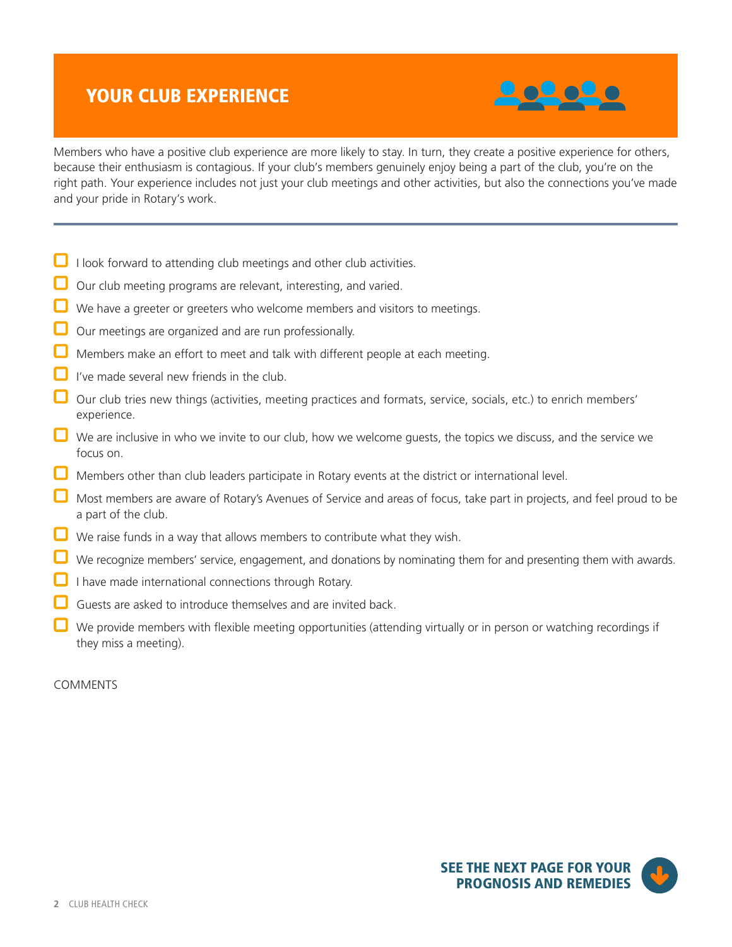# YOUR CLUB EXPERIENCE



Members who have a positive club experience are more likely to stay. In turn, they create a positive experience for others, because their enthusiasm is contagious. If your club's members genuinely enjoy being a part of the club, you're on the right path. Your experience includes not just your club meetings and other activities, but also the connections you've made and your pride in Rotary's work.

- $\Box$  I look forward to attending club meetings and other club activities.
- Our club meeting programs are relevant, interesting, and varied.
- We have a greeter or greeters who welcome members and visitors to meetings.
- Our meetings are organized and are run professionally.
- Members make an effort to meet and talk with different people at each meeting.
- I've made several new friends in the club.
- Our club tries new things (activities, meeting practices and formats, service, socials, etc.) to enrich members' experience.
- $\Box$  We are inclusive in who we invite to our club, how we welcome guests, the topics we discuss, and the service we focus on.
- $\Box$  Members other than club leaders participate in Rotary events at the district or international level.
- Most members are aware of Rotary's Avenues of Service and areas of focus, take part in projects, and feel proud to be a part of the club.
- $\Box$  We raise funds in a way that allows members to contribute what they wish.
- We recognize members' service, engagement, and donations by nominating them for and presenting them with awards.
- I have made international connections through Rotary.
- Guests are asked to introduce themselves and are invited back.
- We provide members with flexible meeting opportunities (attending virtually or in person or watching recordings if they miss a meeting).

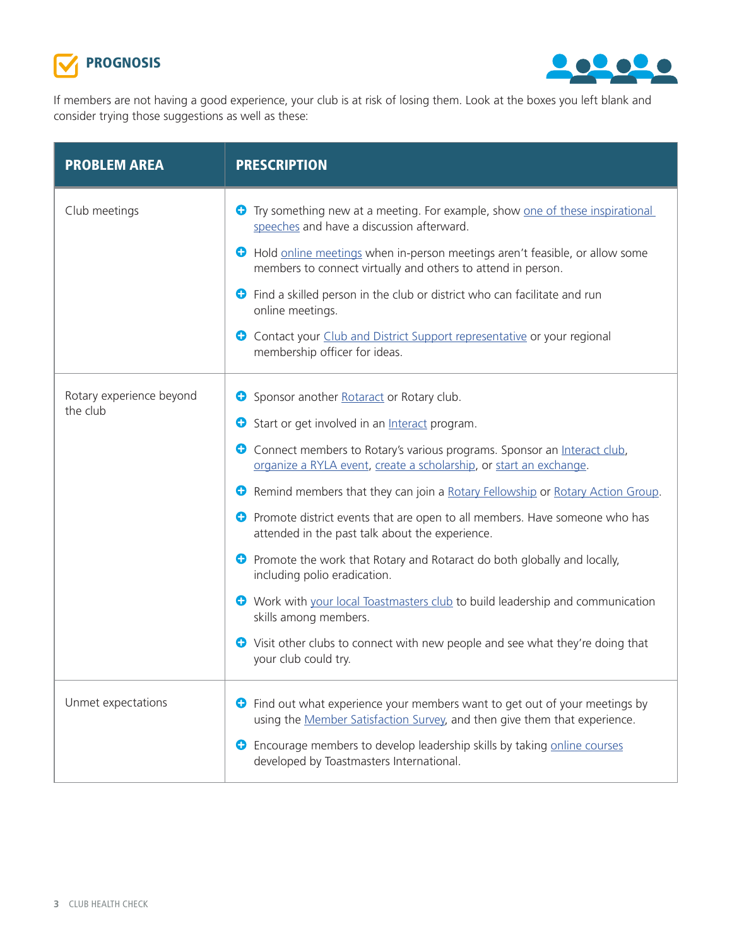



If members are not having a good experience, your club is at risk of losing them. Look at the boxes you left blank and consider trying those suggestions as well as these:

| <b>PROBLEM AREA</b>                  | <b>PRESCRIPTION</b>                                                                                                                                                                                                                                                                                                                                                                                                                                                                                                                                                                                                                                                                                                                                                                                                 |
|--------------------------------------|---------------------------------------------------------------------------------------------------------------------------------------------------------------------------------------------------------------------------------------------------------------------------------------------------------------------------------------------------------------------------------------------------------------------------------------------------------------------------------------------------------------------------------------------------------------------------------------------------------------------------------------------------------------------------------------------------------------------------------------------------------------------------------------------------------------------|
| Club meetings                        | Try something new at a meeting. For example, show one of these inspirational<br>O<br>speeches and have a discussion afterward.<br>Hold online meetings when in-person meetings aren't feasible, or allow some<br>members to connect virtually and others to attend in person.<br><b>C</b> Find a skilled person in the club or district who can facilitate and run<br>online meetings.<br>Contact your Club and District Support representative or your regional<br>€<br>membership officer for ideas.                                                                                                                                                                                                                                                                                                              |
| Rotary experience beyond<br>the club | Sponsor another Rotaract or Rotary club.<br>Start or get involved in an Interact program.<br>0<br>Connect members to Rotary's various programs. Sponsor an Interact club,<br>organize a RYLA event, create a scholarship, or start an exchange.<br>Remind members that they can join a Rotary Fellowship or Rotary Action Group.<br><b>O</b> Promote district events that are open to all members. Have someone who has<br>attended in the past talk about the experience.<br><b>O</b> Promote the work that Rotary and Rotaract do both globally and locally,<br>including polio eradication.<br>• Work with your local Toastmasters club to build leadership and communication<br>skills among members.<br>• Visit other clubs to connect with new people and see what they're doing that<br>your club could try. |
| Unmet expectations                   | <b>O</b> Find out what experience your members want to get out of your meetings by<br>using the Member Satisfaction Survey, and then give them that experience.<br>Encourage members to develop leadership skills by taking online courses<br>0<br>developed by Toastmasters International.                                                                                                                                                                                                                                                                                                                                                                                                                                                                                                                         |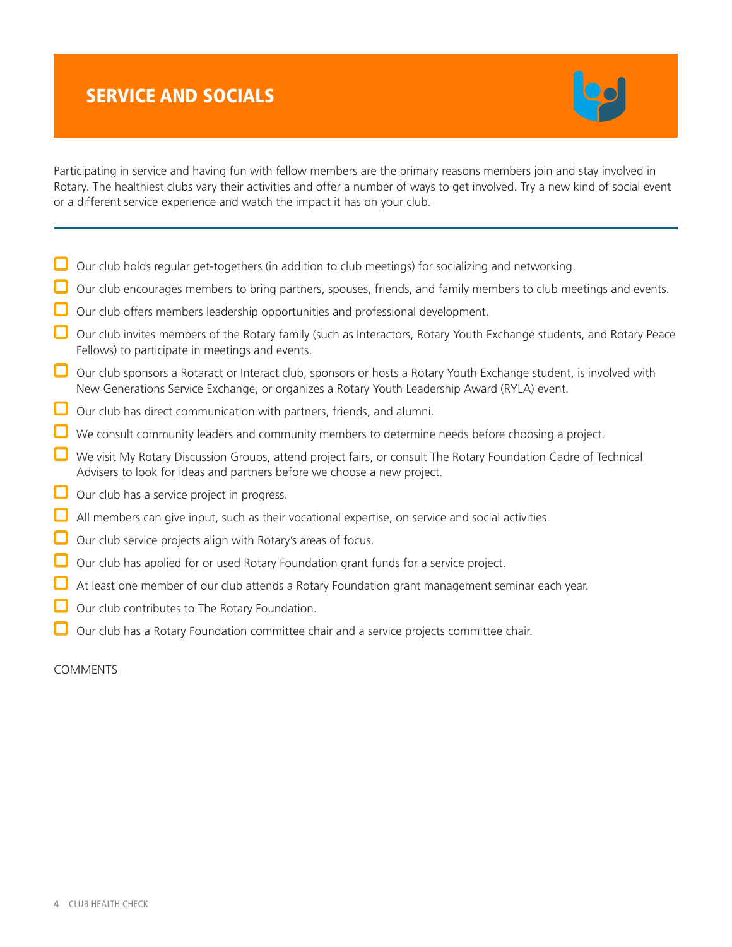# SERVICE AND SOCIALS



Participating in service and having fun with fellow members are the primary reasons members join and stay involved in Rotary. The healthiest clubs vary their activities and offer a number of ways to get involved. Try a new kind of social event or a different service experience and watch the impact it has on your club.

- $\Box$  Our club holds regular get-togethers (in addition to club meetings) for socializing and networking.
- Our club encourages members to bring partners, spouses, friends, and family members to club meetings and events.
- Our club offers members leadership opportunities and professional development.
- Our club invites members of the Rotary family (such as Interactors, Rotary Youth Exchange students, and Rotary Peace Fellows) to participate in meetings and events.
- Our club sponsors a Rotaract or Interact club, sponsors or hosts a Rotary Youth Exchange student, is involved with New Generations Service Exchange, or organizes a Rotary Youth Leadership Award (RYLA) event.
- $\Box$  Our club has direct communication with partners, friends, and alumni.
- We consult community leaders and community members to determine needs before choosing a project.
- We visit My Rotary Discussion Groups, attend project fairs, or consult The Rotary Foundation Cadre of Technical Advisers to look for ideas and partners before we choose a new project.
- Our club has a service project in progress.
- All members can give input, such as their vocational expertise, on service and social activities.
- Our club service projects align with Rotary's areas of focus.
- Our club has applied for or used Rotary Foundation grant funds for a service project.
- At least one member of our club attends a Rotary Foundation grant management seminar each year.
- Our club contributes to The Rotary Foundation.
- Our club has a Rotary Foundation committee chair and a service projects committee chair.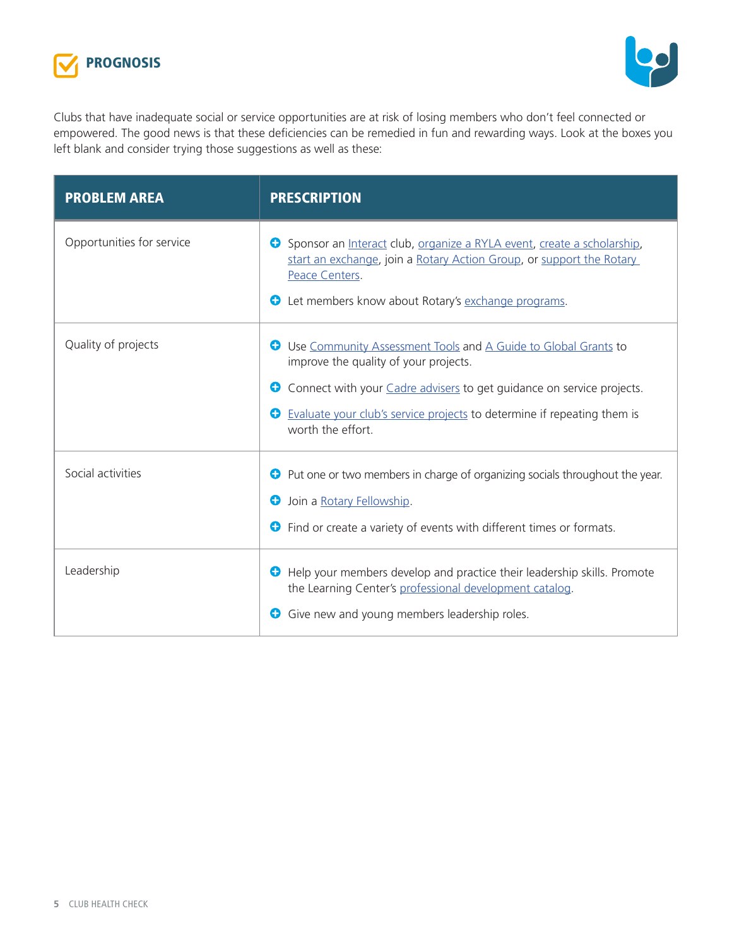



Clubs that have inadequate social or service opportunities are at risk of losing members who don't feel connected or empowered. The good news is that these deficiencies can be remedied in fun and rewarding ways. Look at the boxes you left blank and consider trying those suggestions as well as these:

| <b>PROBLEM AREA</b>       | <b>PRESCRIPTION</b>                                                                                                                                                                                                                                                                                     |  |
|---------------------------|---------------------------------------------------------------------------------------------------------------------------------------------------------------------------------------------------------------------------------------------------------------------------------------------------------|--|
| Opportunities for service | Sponsor an Interact club, organize a RYLA event, create a scholarship,<br>Ð<br>start an exchange, join a Rotary Action Group, or support the Rotary<br>Peace Centers.<br>Let members know about Rotary's exchange programs.<br>Ð                                                                        |  |
| Quality of projects       | Use Community Assessment Tools and A Guide to Global Grants to<br>C)<br>improve the quality of your projects.<br>Connect with your <i>Cadre advisers</i> to get guidance on service projects.<br>Ð<br>Evaluate your club's service projects to determine if repeating them is<br>O<br>worth the effort. |  |
| Social activities         | Put one or two members in charge of organizing socials throughout the year.<br>0<br>Join a Rotary Fellowship.<br>O<br>Find or create a variety of events with different times or formats.<br>0                                                                                                          |  |
| Leadership                | Help your members develop and practice their leadership skills. Promote<br>Ð<br>the Learning Center's professional development catalog.<br>Give new and young members leadership roles.<br>Ð                                                                                                            |  |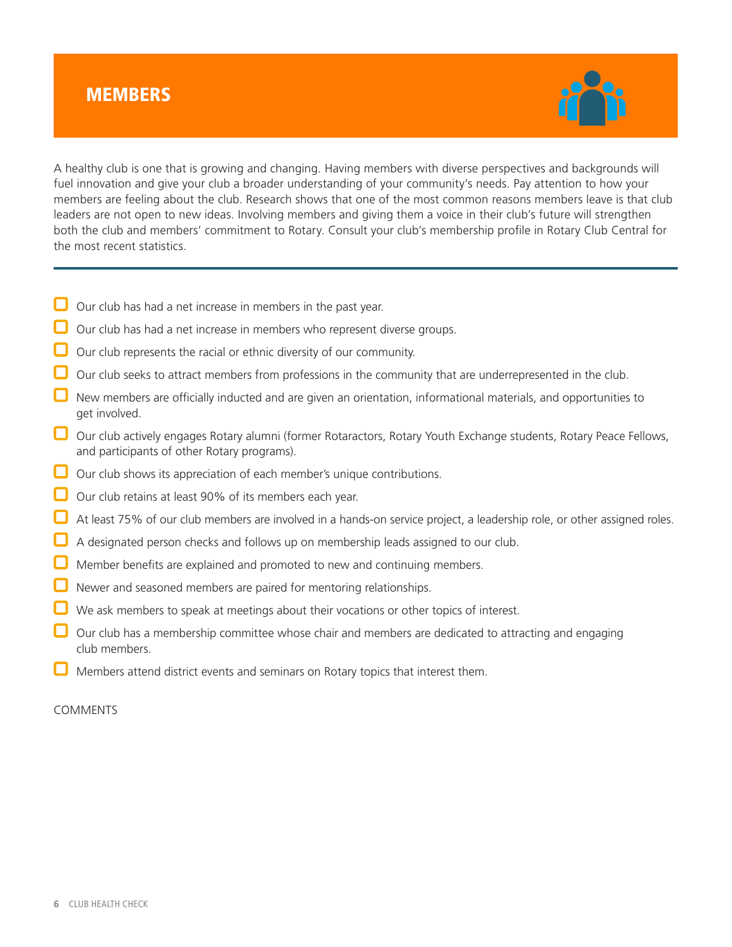### **MEMBERS**



A healthy club is one that is growing and changing. Having members with diverse perspectives and backgrounds will fuel innovation and give your club a broader understanding of your community's needs. Pay attention to how your members are feeling about the club. Research shows that one of the most common reasons members leave is that club leaders are not open to new ideas. Involving members and giving them a voice in their club's future will strengthen both the club and members' commitment to Rotary. Consult your club's membership profile in Rotary Club Central for the most recent statistics.

- $\Box$  Our club has had a net increase in members in the past year.
- Our club has had a net increase in members who represent diverse groups.
- Our club represents the racial or ethnic diversity of our community.
- Our club seeks to attract members from professions in the community that are underrepresented in the club.
- $\Box$  New members are officially inducted and are given an orientation, informational materials, and opportunities to get involved.
- Our club actively engages Rotary alumni (former Rotaractors, Rotary Youth Exchange students, Rotary Peace Fellows, and participants of other Rotary programs).
- Our club shows its appreciation of each member's unique contributions.
- Our club retains at least 90% of its members each year.
- At least 75% of our club members are involved in a hands-on service project, a leadership role, or other assigned roles.
- A designated person checks and follows up on membership leads assigned to our club.
- Member benefits are explained and promoted to new and continuing members.
- Newer and seasoned members are paired for mentoring relationships.
- We ask members to speak at meetings about their vocations or other topics of interest.
- Our club has a membership committee whose chair and members are dedicated to attracting and engaging club members.
- Members attend district events and seminars on Rotary topics that interest them.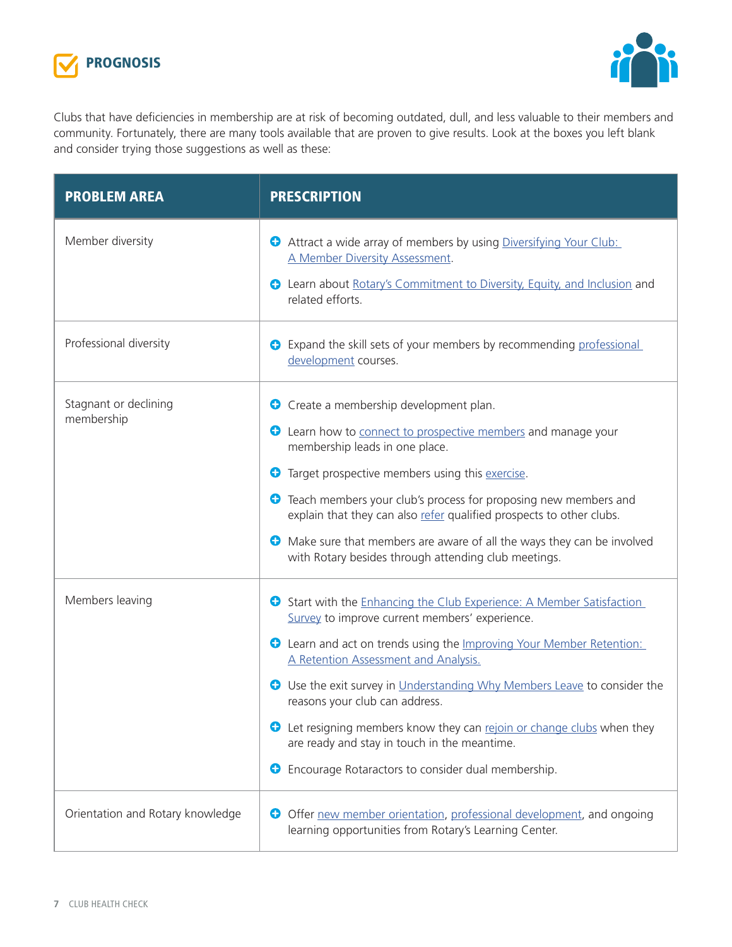



Clubs that have deficiencies in membership are at risk of becoming outdated, dull, and less valuable to their members and community. Fortunately, there are many tools available that are proven to give results. Look at the boxes you left blank and consider trying those suggestions as well as these:

| <b>PROBLEM AREA</b>                 | <b>PRESCRIPTION</b>                                                                                                                                                                                                                                                                                                                                                                                                                                                                                                                         |  |  |
|-------------------------------------|---------------------------------------------------------------------------------------------------------------------------------------------------------------------------------------------------------------------------------------------------------------------------------------------------------------------------------------------------------------------------------------------------------------------------------------------------------------------------------------------------------------------------------------------|--|--|
| Member diversity                    | Attract a wide array of members by using Diversifying Your Club:<br>A Member Diversity Assessment.<br><b>C</b> Learn about Rotary's Commitment to Diversity, Equity, and Inclusion and<br>related efforts.                                                                                                                                                                                                                                                                                                                                  |  |  |
| Professional diversity              | <b>O</b> Expand the skill sets of your members by recommending professional<br>development courses.                                                                                                                                                                                                                                                                                                                                                                                                                                         |  |  |
| Stagnant or declining<br>membership | <b>O</b> Create a membership development plan.<br><b>C</b> Learn how to connect to prospective members and manage your<br>membership leads in one place.<br>Target prospective members using this exercise.<br>⊕<br><b>C</b> Teach members your club's process for proposing new members and<br>explain that they can also refer qualified prospects to other clubs.<br>Make sure that members are aware of all the ways they can be involved<br>0<br>with Rotary besides through attending club meetings.                                  |  |  |
| Members leaving                     | Start with the Enhancing the Club Experience: A Member Satisfaction<br>Survey to improve current members' experience.<br>C Learn and act on trends using the Improving Your Member Retention:<br>A Retention Assessment and Analysis.<br>Use the exit survey in Understanding Why Members Leave to consider the<br>0<br>reasons your club can address.<br>• Let resigning members know they can rejoin or change clubs when they<br>are ready and stay in touch in the meantime.<br>Encourage Rotaractors to consider dual membership.<br>€ |  |  |
| Orientation and Rotary knowledge    | Offer new member orientation, professional development, and ongoing<br>0<br>learning opportunities from Rotary's Learning Center.                                                                                                                                                                                                                                                                                                                                                                                                           |  |  |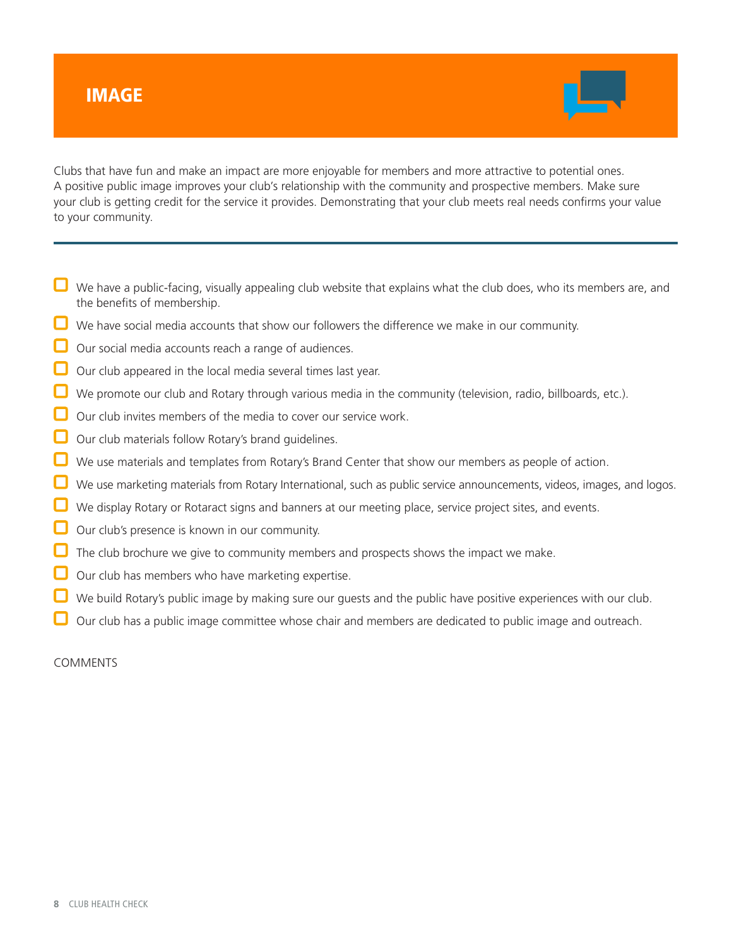### IMAGE



Clubs that have fun and make an impact are more enjoyable for members and more attractive to potential ones. A positive public image improves your club's relationship with the community and prospective members. Make sure your club is getting credit for the service it provides. Demonstrating that your club meets real needs confirms your value to your community.

- $\Box$  We have a public-facing, visually appealing club website that explains what the club does, who its members are, and the benefits of membership.
- $\Box$  We have social media accounts that show our followers the difference we make in our community.
- Our social media accounts reach a range of audiences.
- Our club appeared in the local media several times last year.
- We promote our club and Rotary through various media in the community (television, radio, billboards, etc.).
- Our club invites members of the media to cover our service work.
- Our club materials follow Rotary's brand guidelines.
- We use materials and templates from Rotary's Brand Center that show our members as people of action.
- We use marketing materials from Rotary International, such as public service announcements, videos, images, and logos.
- We display Rotary or Rotaract signs and banners at our meeting place, service project sites, and events.
- Our club's presence is known in our community.
- The club brochure we give to community members and prospects shows the impact we make.
- Our club has members who have marketing expertise.
- We build Rotary's public image by making sure our guests and the public have positive experiences with our club.
- Our club has a public image committee whose chair and members are dedicated to public image and outreach.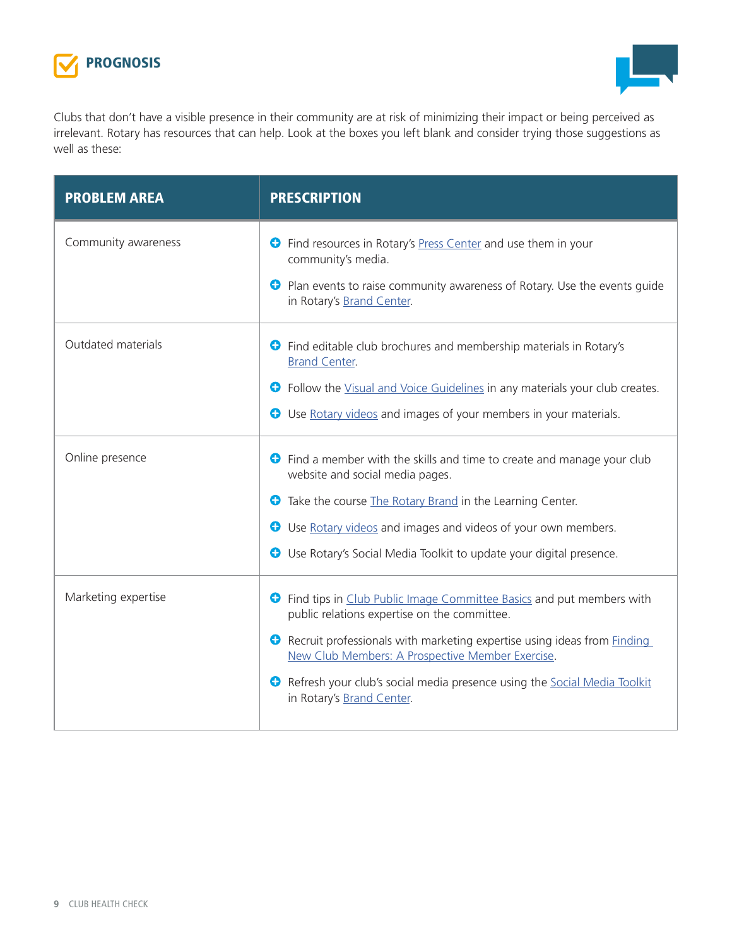



Clubs that don't have a visible presence in their community are at risk of minimizing their impact or being perceived as irrelevant. Rotary has resources that can help. Look at the boxes you left blank and consider trying those suggestions as well as these:

| <b>PROBLEM AREA</b> | <b>PRESCRIPTION</b>                                                                                                                                                                                                                                                                                                                                                                 |  |
|---------------------|-------------------------------------------------------------------------------------------------------------------------------------------------------------------------------------------------------------------------------------------------------------------------------------------------------------------------------------------------------------------------------------|--|
| Community awareness | <b>C</b> Find resources in Rotary's Press Center and use them in your<br>community's media.<br><b>C</b> Plan events to raise community awareness of Rotary. Use the events guide<br>in Rotary's Brand Center.                                                                                                                                                                       |  |
| Outdated materials  | Find editable club brochures and membership materials in Rotary's<br>O<br><b>Brand Center.</b><br>• Follow the Visual and Voice Guidelines in any materials your club creates.<br><b>O</b> Use Rotary videos and images of your members in your materials.                                                                                                                          |  |
| Online presence     | Find a member with the skills and time to create and manage your club<br>Ð<br>website and social media pages.<br>Take the course The Rotary Brand in the Learning Center.<br>Ð<br>Use Rotary videos and images and videos of your own members.<br>O<br>Use Rotary's Social Media Toolkit to update your digital presence.<br>0                                                      |  |
| Marketing expertise | <b>O</b> Find tips in Club Public Image Committee Basics and put members with<br>public relations expertise on the committee.<br>• Recruit professionals with marketing expertise using ideas from <b>Finding</b><br>New Club Members: A Prospective Member Exercise.<br>Refresh your club's social media presence using the Social Media Toolkit<br>0<br>in Rotary's Brand Center. |  |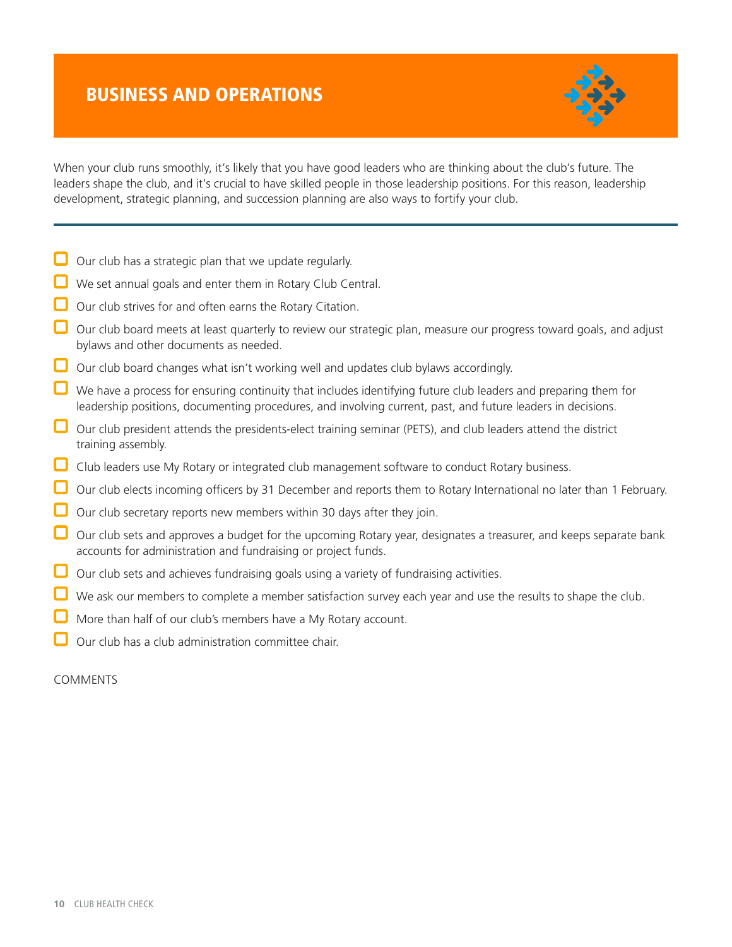### BUSINESS AND OPERATIONS



When your club runs smoothly, it's likely that you have good leaders who are thinking about the club's future. The leaders shape the club, and it's crucial to have skilled people in those leadership positions. For this reason, leadership development, strategic planning, and succession planning are also ways to fortify your club.

- $\Box$  Our club has a strategic plan that we update regularly.
- We set annual goals and enter them in Rotary Club Central.
- Our club strives for and often earns the Rotary Citation.
- Our club board meets at least quarterly to review our strategic plan, measure our progress toward goals, and adjust bylaws and other documents as needed.
- $\Box$  Our club board changes what isn't working well and updates club bylaws accordingly.
- $\Box$  We have a process for ensuring continuity that includes identifying future club leaders and preparing them for leadership positions, documenting procedures, and involving current, past, and future leaders in decisions.
- $\Box$  Our club president attends the presidents-elect training seminar (PETS), and club leaders attend the district training assembly.
- Club leaders use My Rotary or integrated club management software to conduct Rotary business.
- $\Box$  Our club elects incoming officers by 31 December and reports them to Rotary International no later than 1 February.
- Our club secretary reports new members within 30 days after they join.
- Our club sets and approves a budget for the upcoming Rotary year, designates a treasurer, and keeps separate bank accounts for administration and fundraising or project funds.
- Our club sets and achieves fundraising goals using a variety of fundraising activities.
- We ask our members to complete a member satisfaction survey each year and use the results to shape the club.
- More than half of our club's members have a My Rotary account.
- Our club has a club administration committee chair.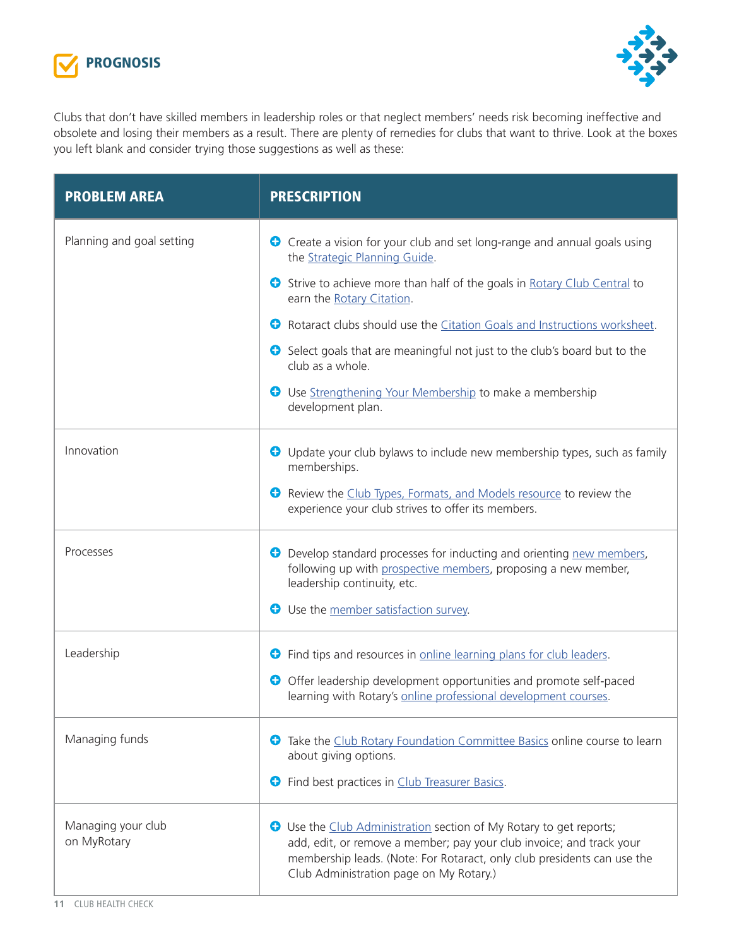



Clubs that don't have skilled members in leadership roles or that neglect members' needs risk becoming ineffective and obsolete and losing their members as a result. There are plenty of remedies for clubs that want to thrive. Look at the boxes you left blank and consider trying those suggestions as well as these:

| <b>PROBLEM AREA</b>               | <b>PRESCRIPTION</b>                                                                                                                                                                                                                                                     |  |  |
|-----------------------------------|-------------------------------------------------------------------------------------------------------------------------------------------------------------------------------------------------------------------------------------------------------------------------|--|--|
| Planning and goal setting         | Create a vision for your club and set long-range and annual goals using<br>the Strategic Planning Guide.                                                                                                                                                                |  |  |
|                                   | Strive to achieve more than half of the goals in Rotary Club Central to<br>$\bullet$<br>earn the Rotary Citation.                                                                                                                                                       |  |  |
|                                   | €<br>Rotaract clubs should use the Citation Goals and Instructions worksheet.                                                                                                                                                                                           |  |  |
|                                   | Select goals that are meaningful not just to the club's board but to the<br>club as a whole.                                                                                                                                                                            |  |  |
|                                   | <b>C</b> Use Strengthening Your Membership to make a membership<br>development plan.                                                                                                                                                                                    |  |  |
| Innovation                        | O Update your club bylaws to include new membership types, such as family<br>memberships.                                                                                                                                                                               |  |  |
|                                   | Review the Club Types, Formats, and Models resource to review the<br>experience your club strives to offer its members.                                                                                                                                                 |  |  |
| Processes                         | Develop standard processes for inducting and orienting new members,<br>Φ<br>following up with prospective members, proposing a new member,<br>leadership continuity, etc.<br>Use the member satisfaction survey.<br>0                                                   |  |  |
|                                   |                                                                                                                                                                                                                                                                         |  |  |
| Leadership                        | Find tips and resources in online learning plans for club leaders.<br>0                                                                                                                                                                                                 |  |  |
|                                   | Offer leadership development opportunities and promote self-paced<br>learning with Rotary's online professional development courses.                                                                                                                                    |  |  |
| Managing funds                    | Take the Club Rotary Foundation Committee Basics online course to learn<br>Φ<br>about giving options.<br>Find best practices in Club Treasurer Basics.<br>Ð                                                                                                             |  |  |
| Managing your club<br>on MyRotary | <b>C</b> Use the Club Administration section of My Rotary to get reports;<br>add, edit, or remove a member; pay your club invoice; and track your<br>membership leads. (Note: For Rotaract, only club presidents can use the<br>Club Administration page on My Rotary.) |  |  |